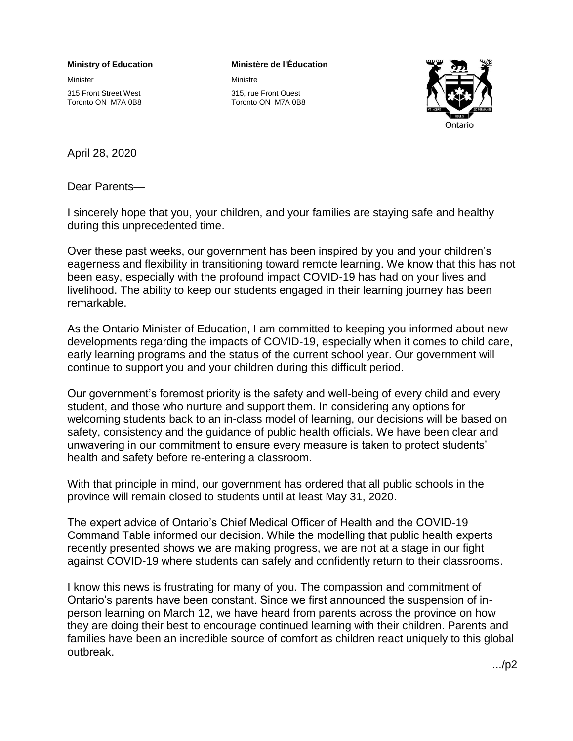## **Ministry of Education**

Minister

315 Front Street West Toronto ON M7A 0B8

## **Ministère de l'Éducation**

Ministre

315, rue Front Ouest Toronto ON M7A 0B8



April 28, 2020

Dear Parents—

I sincerely hope that you, your children, and your families are staying safe and healthy during this unprecedented time.

Over these past weeks, our government has been inspired by you and your children's eagerness and flexibility in transitioning toward remote learning. We know that this has not been easy, especially with the profound impact COVID-19 has had on your lives and livelihood. The ability to keep our students engaged in their learning journey has been remarkable.

As the Ontario Minister of Education, I am committed to keeping you informed about new developments regarding the impacts of COVID-19, especially when it comes to child care, early learning programs and the status of the current school year. Our government will continue to support you and your children during this difficult period.

Our government's foremost priority is the safety and well-being of every child and every student, and those who nurture and support them. In considering any options for welcoming students back to an in-class model of learning, our decisions will be based on safety, consistency and the guidance of public health officials. We have been clear and unwavering in our commitment to ensure every measure is taken to protect students' health and safety before re-entering a classroom.

With that principle in mind, our government has ordered that all public schools in the province will remain closed to students until at least May 31, 2020.

The expert advice of Ontario's Chief Medical Officer of Health and the COVID-19 Command Table informed our decision. While the modelling that public health experts recently presented shows we are making progress, we are not at a stage in our fight against COVID-19 where students can safely and confidently return to their classrooms.

I know this news is frustrating for many of you. The compassion and commitment of Ontario's parents have been constant. Since we first announced the suspension of inperson learning on March 12, we have heard from parents across the province on how they are doing their best to encourage continued learning with their children. Parents and families have been an incredible source of comfort as children react uniquely to this global outbreak.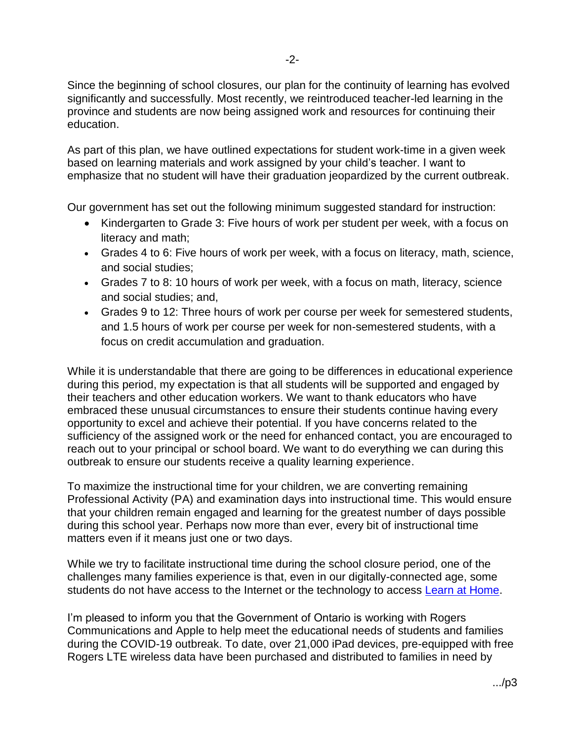Since the beginning of school closures, our plan for the continuity of learning has evolved significantly and successfully. Most recently, we reintroduced teacher-led learning in the province and students are now being assigned work and resources for continuing their education.

As part of this plan, we have outlined expectations for student work-time in a given week based on learning materials and work assigned by your child's teacher. I want to emphasize that no student will have their graduation jeopardized by the current outbreak.

Our government has set out the following minimum suggested standard for instruction:

- Kindergarten to Grade 3: Five hours of work per student per week, with a focus on literacy and math;
- Grades 4 to 6: Five hours of work per week, with a focus on literacy, math, science, and social studies;
- Grades 7 to 8: 10 hours of work per week, with a focus on math, literacy, science and social studies; and,
- Grades 9 to 12: Three hours of work per course per week for semestered students, and 1.5 hours of work per course per week for non-semestered students, with a focus on credit accumulation and graduation.

While it is understandable that there are going to be differences in educational experience during this period, my expectation is that all students will be supported and engaged by their teachers and other education workers. We want to thank educators who have embraced these unusual circumstances to ensure their students continue having every opportunity to excel and achieve their potential. If you have concerns related to the sufficiency of the assigned work or the need for enhanced contact, you are encouraged to reach out to your principal or school board. We want to do everything we can during this outbreak to ensure our students receive a quality learning experience.

To maximize the instructional time for your children, we are converting remaining Professional Activity (PA) and examination days into instructional time. This would ensure that your children remain engaged and learning for the greatest number of days possible during this school year. Perhaps now more than ever, every bit of instructional time matters even if it means just one or two days.

While we try to facilitate instructional time during the school closure period, one of the challenges many families experience is that, even in our digitally-connected age, some students do not have access to the Internet or the technology to access [Learn at Home.](https://www.ontario.ca/page/learn-at-home)

I'm pleased to inform you that the Government of Ontario is working with Rogers Communications and Apple to help meet the educational needs of students and families during the COVID-19 outbreak. To date, over 21,000 iPad devices, pre-equipped with free Rogers LTE wireless data have been purchased and distributed to families in need by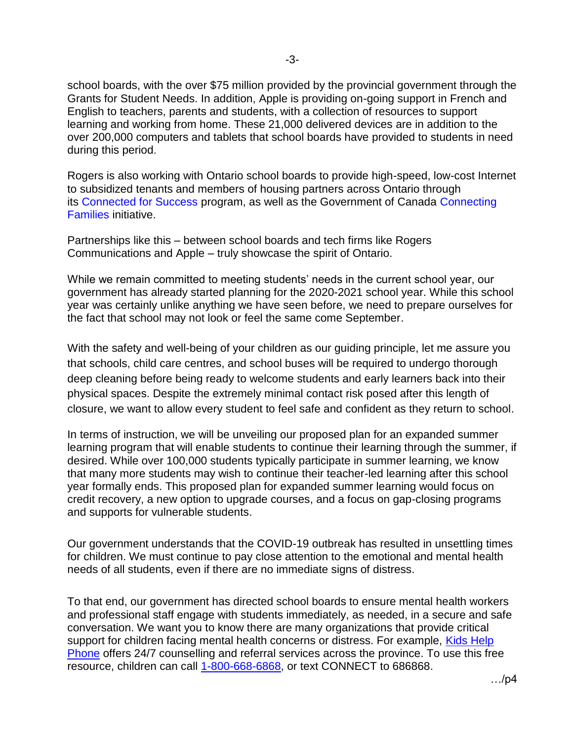school boards, with the over \$75 million provided by the provincial government through the Grants for Student Needs. In addition, Apple is providing on-going support in French and English to teachers, parents and students, with a collection of resources to support learning and working from home. These 21,000 delivered devices are in addition to the over 200,000 computers and tablets that school boards have provided to students in need during this period.

Rogers is also working with Ontario school boards to provide high-speed, low-cost Internet to subsidized tenants and members of housing partners across Ontario through its [Connected for Success](https://can01.safelinks.protection.outlook.com/?url=https%3A%2F%2Fabout.rogers.com%2Fgiving-back%2Fconnected-for-success%2F&data=02%7C01%7CStephanie.Rea%40ontario.ca%7Cd007e40f5d454a3af56808d7e9e79062%7Ccddc1229ac2a4b97b78a0e5cacb5865c%7C0%7C0%7C637235053083077129&sdata=%2BEqRJFWxHYUxrozKyRdFdurPaWiui8rfO7qth0YxSvI%3D&reserved=0) program, as well as the Government of Canada [Connecting](https://can01.safelinks.protection.outlook.com/?url=https%3A%2F%2Fwww.ic.gc.ca%2Feic%2Fsite%2F111.nsf%2Feng%2Fhome&data=02%7C01%7CStephanie.Rea%40ontario.ca%7Cd007e40f5d454a3af56808d7e9e79062%7Ccddc1229ac2a4b97b78a0e5cacb5865c%7C0%7C0%7C637235053083077129&sdata=XVT4%2F6N3lk7mBTae21ZjI49s%2FAZLp7TU2aMRZCC381s%3D&reserved=0)  [Families](https://can01.safelinks.protection.outlook.com/?url=https%3A%2F%2Fwww.ic.gc.ca%2Feic%2Fsite%2F111.nsf%2Feng%2Fhome&data=02%7C01%7CStephanie.Rea%40ontario.ca%7Cd007e40f5d454a3af56808d7e9e79062%7Ccddc1229ac2a4b97b78a0e5cacb5865c%7C0%7C0%7C637235053083077129&sdata=XVT4%2F6N3lk7mBTae21ZjI49s%2FAZLp7TU2aMRZCC381s%3D&reserved=0) initiative.

Partnerships like this – between school boards and tech firms like Rogers Communications and Apple – truly showcase the spirit of Ontario.

While we remain committed to meeting students' needs in the current school year, our government has already started planning for the 2020-2021 school year. While this school year was certainly unlike anything we have seen before, we need to prepare ourselves for the fact that school may not look or feel the same come September.

With the safety and well-being of your children as our guiding principle, let me assure you that schools, child care centres, and school buses will be required to undergo thorough deep cleaning before being ready to welcome students and early learners back into their physical spaces. Despite the extremely minimal contact risk posed after this length of closure, we want to allow every student to feel safe and confident as they return to school.

In terms of instruction, we will be unveiling our proposed plan for an expanded summer learning program that will enable students to continue their learning through the summer, if desired. While over 100,000 students typically participate in summer learning, we know that many more students may wish to continue their teacher-led learning after this school year formally ends. This proposed plan for expanded summer learning would focus on credit recovery, a new option to upgrade courses, and a focus on gap-closing programs and supports for vulnerable students.

Our government understands that the COVID-19 outbreak has resulted in unsettling times for children. We must continue to pay close attention to the emotional and mental health needs of all students, even if there are no immediate signs of distress.

To that end, our government has directed school boards to ensure mental health workers and professional staff engage with students immediately, as needed, in a secure and safe conversation. We want you to know there are many organizations that provide critical support for children facing mental health concerns or distress. For example, Kids Help [Phone](https://kidshelpphone.ca/) offers 24/7 counselling and referral services across the province. To use this free resource, children can call [1-800-668-6868,](tel:+18006686868) or text CONNECT to 686868.